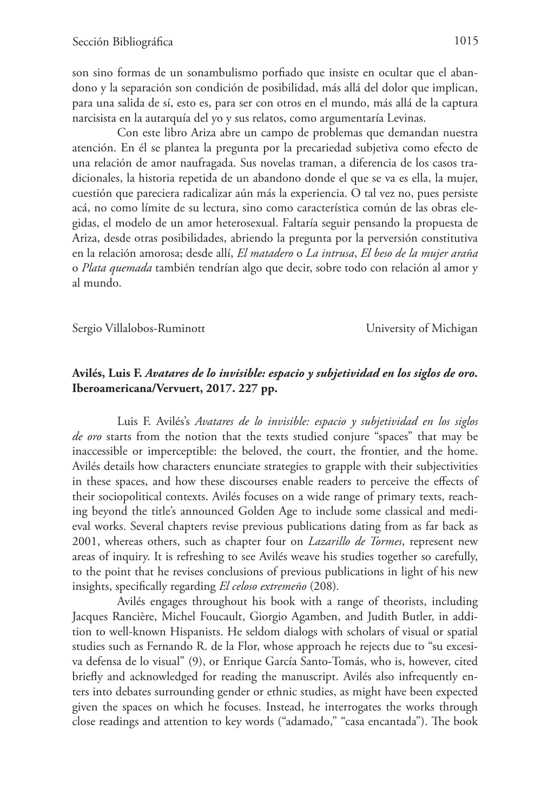son sino formas de un sonambulismo porfiado que insiste en ocultar que el abandono y la separación son condición de posibilidad, más allá del dolor que implican, para una salida de sí, esto es, para ser con otros en el mundo, más allá de la captura narcisista en la autarquía del yo y sus relatos, como argumentaría Levinas.

Con este libro Ariza abre un campo de problemas que demandan nuestra atención. En él se plantea la pregunta por la precariedad subjetiva como efecto de una relación de amor naufragada. Sus novelas traman, a diferencia de los casos tradicionales, la historia repetida de un abandono donde el que se va es ella, la mujer, cuestión que pareciera radicalizar aún más la experiencia. O tal vez no, pues persiste acá, no como límite de su lectura, sino como característica común de las obras elegidas, el modelo de un amor heterosexual. Faltaría seguir pensando la propuesta de Ariza, desde otras posibilidades, abriendo la pregunta por la perversión constitutiva en la relación amorosa; desde allí, *El matadero* o *La intrusa*, *El beso de la mujer araña*  o *Plata quemada* también tendrían algo que decir, sobre todo con relación al amor y al mundo.

Sergio Villalobos-RuminottUniversity of Michigan

## **Avilés, Luis F.** *Avatares de lo invisible: espacio y subjetividad en los siglos de oro.* **Iberoamericana/Vervuert, 2017. 227 pp.**

Luis F. Avilés's *Avatares de lo invisible: espacio y subjetividad en los siglos de oro* starts from the notion that the texts studied conjure "spaces" that may be inaccessible or imperceptible: the beloved, the court, the frontier, and the home. Avilés details how characters enunciate strategies to grapple with their subjectivities in these spaces, and how these discourses enable readers to perceive the effects of their sociopolitical contexts. Avilés focuses on a wide range of primary texts, reaching beyond the title's announced Golden Age to include some classical and medieval works. Several chapters revise previous publications dating from as far back as 2001, whereas others, such as chapter four on *Lazarillo de Tormes*, represent new areas of inquiry. It is refreshing to see Avilés weave his studies together so carefully, to the point that he revises conclusions of previous publications in light of his new insights, specifically regarding *El celoso extremeño* (208)*.*

Avilés engages throughout his book with a range of theorists, including Jacques Rancière, Michel Foucault, Giorgio Agamben, and Judith Butler, in addition to well-known Hispanists. He seldom dialogs with scholars of visual or spatial studies such as Fernando R. de la Flor, whose approach he rejects due to "su excesiva defensa de lo visual" (9), or Enrique García Santo-Tomás, who is, however, cited briefly and acknowledged for reading the manuscript. Avilés also infrequently enters into debates surrounding gender or ethnic studies, as might have been expected given the spaces on which he focuses. Instead, he interrogates the works through close readings and attention to key words ("adamado," "casa encantada"). The book